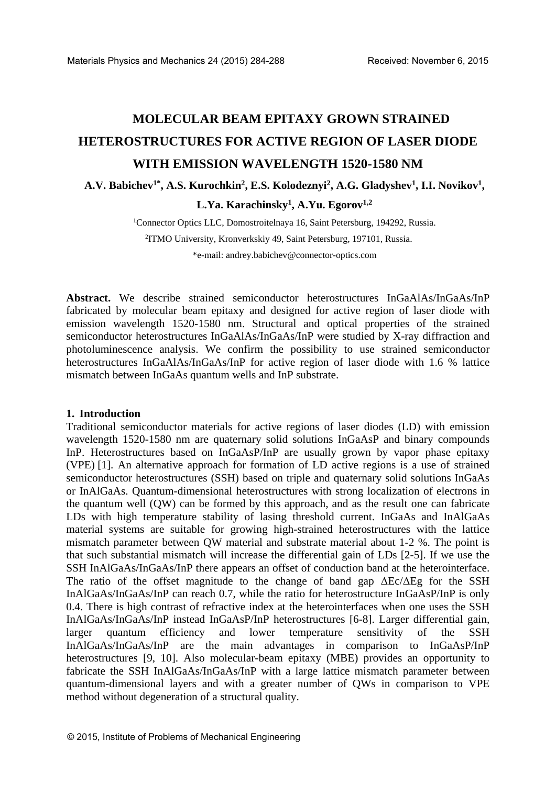# **MOLECULAR BEAM EPITAXY GROWN STRAINED HETEROSTRUCTURES FOR ACTIVE REGION OF LASER DIODE WITH EMISSION WAVELENGTH 1520-1580 NM**

**A.V. Babichev1\* , A.S. Kurochkin<sup>2</sup> , E.S. Kolodeznyi<sup>2</sup> , A.G. Gladyshev<sup>1</sup> , I.I. Novikov<sup>1</sup> , L.Ya. Karachinsky<sup>1</sup> , A.Yu. Egorov1,2**

> <sup>1</sup>Connector Optics LLC, Domostroitelnaya 16, Saint Petersburg, 194292, Russia. 2 ITMO University, Kronverkskiy 49, Saint Petersburg, 197101, Russia. \*e-mail: [andrey.babichev@connector-optics.com](mailto:andrey.babichev@connector-optics.com)

**Abstract.** We describe strained semiconductor heterostructures InGaAlAs/InGaAs/InP fabricated by molecular beam epitaxy and designed for active region of laser diode with emission wavelength 1520-1580 nm. Structural and optical properties of the strained semiconductor heterostructures InGaAlAs/InGaAs/InP were studied by X-ray diffraction and photoluminescence analysis. We confirm the possibility to use strained semiconductor heterostructures InGaAlAs/InGaAs/InP for active region of laser diode with 1.6 % lattice mismatch between InGaAs quantum wells and InP substrate.

## **1. Introduction**

Traditional semiconductor materials for active regions of laser diodes (LD) with emission wavelength 1520-1580 nm are quaternary solid solutions InGaAsP and binary compounds InP. Heterostructures based on InGaAsP/InP are usually grown by vapor phase epitaxy (VPE) [1]. An alternative approach for formation of LD active regions is a use of strained semiconductor heterostructures (SSH) based on triple and quaternary solid solutions InGaAs or InAlGaAs. Quantum-dimensional heterostructures with strong localization of electrons in the quantum well (QW) can be formed by this approach, and as the result one can fabricate LDs with high temperature stability of lasing threshold current. InGaAs and InAlGaAs material systems are suitable for growing high-strained heterostructures with the lattice mismatch parameter between QW material and substrate material about 1-2 %. The point is that such substantial mismatch will increase the differential gain of LDs [2-5]. If we use the SSH InAlGaAs/InGaAs/InP there appears an offset of conduction band at the heterointerface. The ratio of the offset magnitude to the change of band gap  $\Delta E_c/\Delta Eg$  for the SSH InAlGaAs/InGaAs/InP can reach 0.7, while the ratio for heterostructure InGaAsP/InP is only 0.4. There is high contrast of refractive index at the heterointerfaces when one uses the SSH InAlGaAs/InGaAs/InP instead InGaAsP/InP heterostructures [6-8]. Larger differential gain, larger quantum efficiency and lower temperature sensitivity of the SSH InAlGaAs/InGaAs/InP are the main advantages in comparison to InGaAsP/InP heterostructures [9, 10]. Also molecular-beam epitaxy (MBE) provides an opportunity to fabricate the SSH InAlGaAs/InGaAs/InP with a large lattice mismatch parameter between quantum-dimensional layers and with a greater number of QWs in comparison to VPE method without degeneration of a structural quality.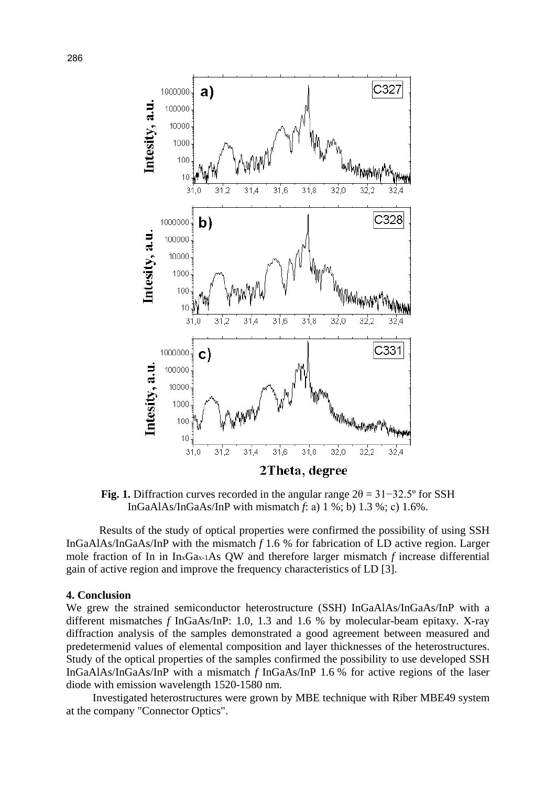

**Fig. 1.** Diffraction curves recorded in the angular range  $2\theta = 31 - 32.5^{\circ}$  for SSH InGaAlAs/InGaAs/InP with mismatch *f*: а) 1 %; b) 1.3 %; с) 1.6%.

Results of the study of optical properties were confirmed the possibility of using SSH InGaAlAs/InGaAs/InP with the mismatch *f* 1.6 % for fabrication of LD active region. Larger mole fraction of In in InxGax-1As QW and therefore larger mismatch *f* increase differential gain of active region and improve the frequency characteristics of LD [3].

## **4. Conclusion**

We grew the strained semiconductor heterostructure (SSH) InGaAlAs/InGaAs/InP with a different mismatches *f* InGaAs/InP: 1.0, 1.3 and 1.6 % by molecular-beam epitaxy. X-ray diffraction analysis of the samples demonstrated a good agreement between measured and predetermenid values of elemental composition and layer thicknesses of the heterostructures. Study of the optical properties of the samples confirmed the possibility to use developed SSH InGaAlAs/InGaAs/InP with a mismatch *f* InGaAs/InP 1.6 % for active regions of the laser diode with emission wavelength 1520-1580 nm.

Investigated heterostructures were grown by MBE technique with Riber MBE49 system at the company "Connector Optics".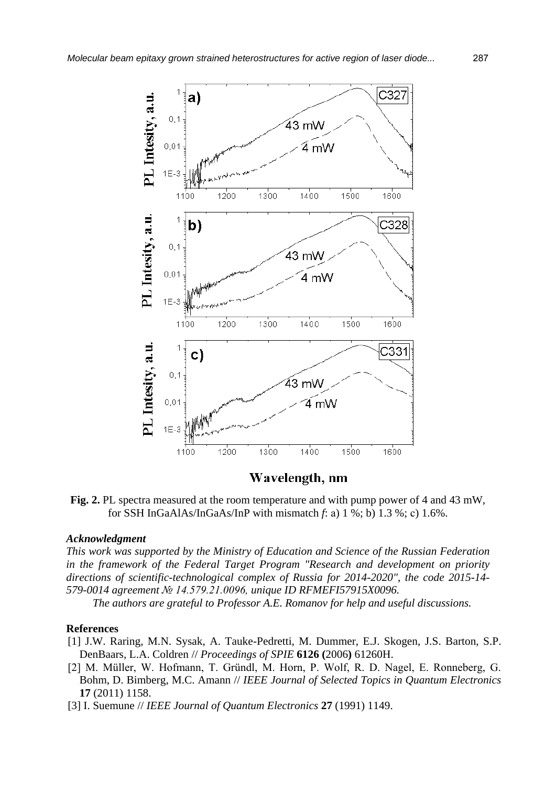

## Wavelength, nm

**Fig. 2.** PL spectra measured at the room temperature and with pump power of 4 and 43 mW, for SSH InGaAlAs/InGaAs/InP with mismatch *f*: а) 1 %; b) 1.3 %; с) 1.6%.

## *Acknowledgment*

*This work was supported by the Ministry of Education and Science of the Russian Federation in the framework of the Federal Target Program "Research and development on priority directions of scientific-technological complex of Russia for 2014-2020", the code 2015-14- 579-0014 agreement № 14.579.21.0096, unique ID RFMEFI57915X0096.* 

*The authors are grateful to Professor A.E. Romanov for help and useful discussions.*

### **References**

- [1] J.W. Raring, M.N. Sysak, A. Tauke-Pedretti, M. Dummer, E.J. Skogen, J.S. Barton, S.P. DenBaars, L.A. Coldren // *Proceedings of SPIE* **6126 (**2006**)** 61260H.
- [2] M. Müller, W. Hofmann, T. Gründl, M. Horn, P. Wolf, R. D. Nagel, E. Ronneberg, G. Bohm, D. Bimberg, M.C. Amann // *IEEE Journal of Selected Topics in Quantum Electronics* **17** (2011) 1158.
- [3] I. Suemune // *IEEE Journal of Quantum Electronics* **27** (1991) 1149.